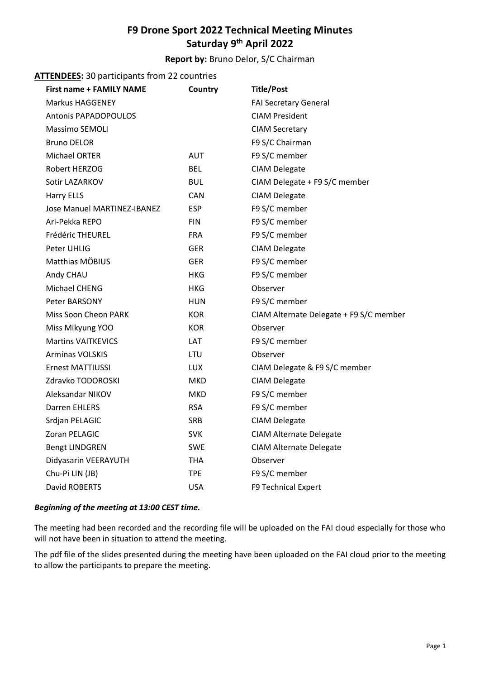# **F9 Drone Sport 2022 Technical Meeting Minutes Saturday 9th April 2022**

# **Report by:** Bruno Delor, S/C Chairman

## **ATTENDEES:** 30 participants from 22 countries

| <b>First name + FAMILY NAME</b> | Country    | <b>Title/Post</b>                       |
|---------------------------------|------------|-----------------------------------------|
| Markus HAGGENEY                 |            | <b>FAI Secretary General</b>            |
| <b>Antonis PAPADOPOULOS</b>     |            | <b>CIAM President</b>                   |
| Massimo SEMOLI                  |            | <b>CIAM Secretary</b>                   |
| <b>Bruno DELOR</b>              |            | F9 S/C Chairman                         |
| Michael ORTER                   | <b>AUT</b> | F9 S/C member                           |
| Robert HERZOG                   | <b>BEL</b> | <b>CIAM Delegate</b>                    |
| Sotir LAZARKOV                  | <b>BUL</b> | CIAM Delegate + F9 S/C member           |
| <b>Harry ELLS</b>               | <b>CAN</b> | <b>CIAM Delegate</b>                    |
| Jose Manuel MARTINEZ-IBANEZ     | <b>ESP</b> | F9 S/C member                           |
| Ari-Pekka REPO                  | <b>FIN</b> | F9 S/C member                           |
| Frédéric THEUREL                | <b>FRA</b> | F9 S/C member                           |
| Peter UHLIG                     | <b>GER</b> | <b>CIAM Delegate</b>                    |
| Matthias MÖBIUS                 | <b>GER</b> | F9 S/C member                           |
| Andy CHAU                       | HKG        | F9 S/C member                           |
| Michael CHENG                   | <b>HKG</b> | Observer                                |
| Peter BARSONY                   | <b>HUN</b> | F9 S/C member                           |
| Miss Soon Cheon PARK            | <b>KOR</b> | CIAM Alternate Delegate + F9 S/C member |
| Miss Mikyung YOO                | <b>KOR</b> | Observer                                |
| <b>Martins VAITKEVICS</b>       | LAT        | F9 S/C member                           |
| <b>Arminas VOLSKIS</b>          | LTU        | Observer                                |
| <b>Ernest MATTIUSSI</b>         | <b>LUX</b> | CIAM Delegate & F9 S/C member           |
| Zdravko TODOROSKI               | <b>MKD</b> | <b>CIAM Delegate</b>                    |
| Aleksandar NIKOV                | <b>MKD</b> | F9 S/C member                           |
| <b>Darren EHLERS</b>            | <b>RSA</b> | F9 S/C member                           |
| Srdjan PELAGIC                  | <b>SRB</b> | <b>CIAM Delegate</b>                    |
| Zoran PELAGIC                   | <b>SVK</b> | <b>CIAM Alternate Delegate</b>          |
| <b>Bengt LINDGREN</b>           | <b>SWE</b> | <b>CIAM Alternate Delegate</b>          |
| Didyasarin VEERAYUTH            | <b>THA</b> | Observer                                |
| Chu-Pi LIN (JB)                 | <b>TPE</b> | F9 S/C member                           |
| David ROBERTS                   | <b>USA</b> | F9 Technical Expert                     |

#### *Beginning of the meeting at 13:00 CEST time.*

The meeting had been recorded and the recording file will be uploaded on the FAI cloud especially for those who will not have been in situation to attend the meeting.

The pdf file of the slides presented during the meeting have been uploaded on the FAI cloud prior to the meeting to allow the participants to prepare the meeting.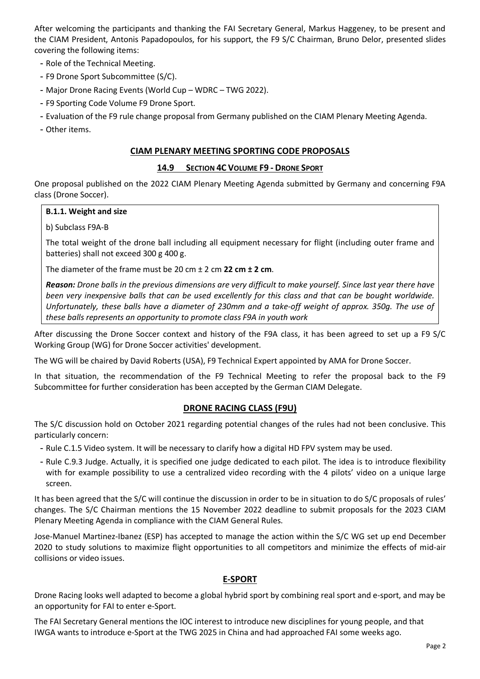After welcoming the participants and thanking the FAI Secretary General, Markus Haggeney, to be present and the CIAM President, Antonis Papadopoulos, for his support, the F9 S/C Chairman, Bruno Delor, presented slides covering the following items:

- Role of the Technical Meeting.
- F9 Drone Sport Subcommittee (S/C).
- Major Drone Racing Events (World Cup WDRC TWG 2022).
- F9 Sporting Code Volume F9 Drone Sport.
- Evaluation of the F9 rule change proposal from Germany published on the CIAM Plenary Meeting Agenda.
- Other items.

### **CIAM PLENARY MEETING SPORTING CODE PROPOSALS**

#### **14.9 SECTION 4C VOLUME F9 - DRONE SPORT**

One proposal published on the 2022 CIAM Plenary Meeting Agenda submitted by Germany and concerning F9A class (Drone Soccer).

#### **B.1.1. Weight and size**

b) Subclass F9A-B

The total weight of the drone ball including all equipment necessary for flight (including outer frame and batteries) shall not exceed 300 g 400 g.

The diameter of the frame must be 20 cm ± 2 cm **22 cm ± 2 cm**.

*Reason: Drone balls in the previous dimensions are very difficult to make yourself. Since last year there have been very inexpensive balls that can be used excellently for this class and that can be bought worldwide. Unfortunately, these balls have a diameter of 230mm and a take-off weight of approx. 350g. The use of these balls represents an opportunity to promote class F9A in youth work*

After discussing the Drone Soccer context and history of the F9A class, it has been agreed to set up a F9 S/C Working Group (WG) for Drone Soccer activities' development.

The WG will be chaired by David Roberts (USA), F9 Technical Expert appointed by AMA for Drone Soccer.

In that situation, the recommendation of the F9 Technical Meeting to refer the proposal back to the F9 Subcommittee for further consideration has been accepted by the German CIAM Delegate.

#### **DRONE RACING CLASS (F9U)**

The S/C discussion hold on October 2021 regarding potential changes of the rules had not been conclusive. This particularly concern:

- Rule C.1.5 Video system. It will be necessary to clarify how a digital HD FPV system may be used.
- Rule C.9.3 Judge. Actually, it is specified one judge dedicated to each pilot. The idea is to introduce flexibility with for example possibility to use a centralized video recording with the 4 pilots' video on a unique large screen.

It has been agreed that the S/C will continue the discussion in order to be in situation to do S/C proposals of rules' changes. The S/C Chairman mentions the 15 November 2022 deadline to submit proposals for the 2023 CIAM Plenary Meeting Agenda in compliance with the CIAM General Rules.

Jose-Manuel Martinez-Ibanez (ESP) has accepted to manage the action within the S/C WG set up end December 2020 to study solutions to maximize flight opportunities to all competitors and minimize the effects of mid-air collisions or video issues.

#### **E-SPORT**

Drone Racing looks well adapted to become a global hybrid sport by combining real sport and e-sport, and may be an opportunity for FAI to enter e-Sport.

The FAI Secretary General mentions the IOC interest to introduce new disciplines for young people, and that IWGA wants to introduce e-Sport at the TWG 2025 in China and had approached FAI some weeks ago.